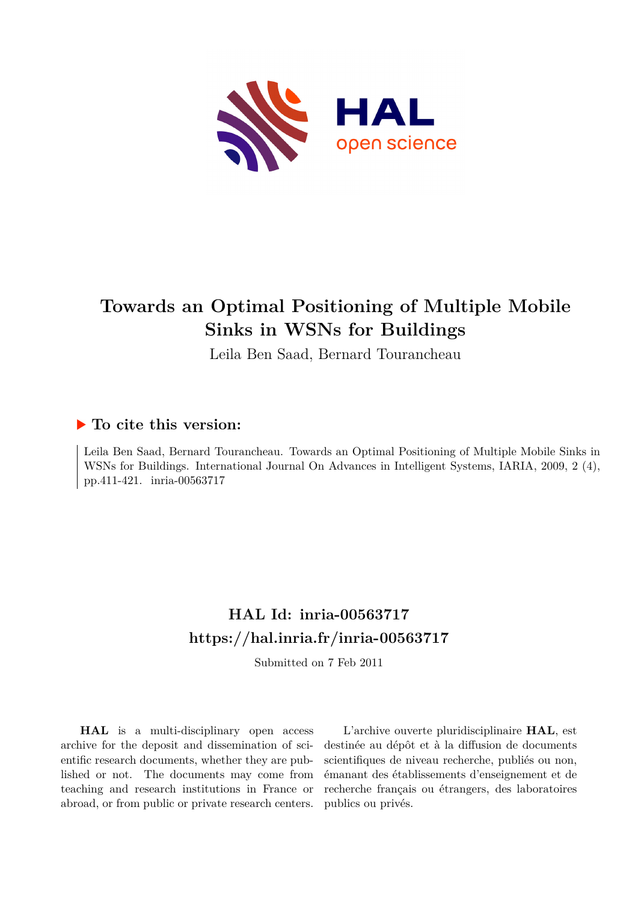

# **Towards an Optimal Positioning of Multiple Mobile Sinks in WSNs for Buildings**

Leila Ben Saad, Bernard Tourancheau

### **To cite this version:**

Leila Ben Saad, Bernard Tourancheau. Towards an Optimal Positioning of Multiple Mobile Sinks in WSNs for Buildings. International Journal On Advances in Intelligent Systems, IARIA, 2009, 2 (4), pp.411-421. inria-00563717

## **HAL Id: inria-00563717 <https://hal.inria.fr/inria-00563717>**

Submitted on 7 Feb 2011

**HAL** is a multi-disciplinary open access archive for the deposit and dissemination of scientific research documents, whether they are published or not. The documents may come from teaching and research institutions in France or abroad, or from public or private research centers.

L'archive ouverte pluridisciplinaire **HAL**, est destinée au dépôt et à la diffusion de documents scientifiques de niveau recherche, publiés ou non, émanant des établissements d'enseignement et de recherche français ou étrangers, des laboratoires publics ou privés.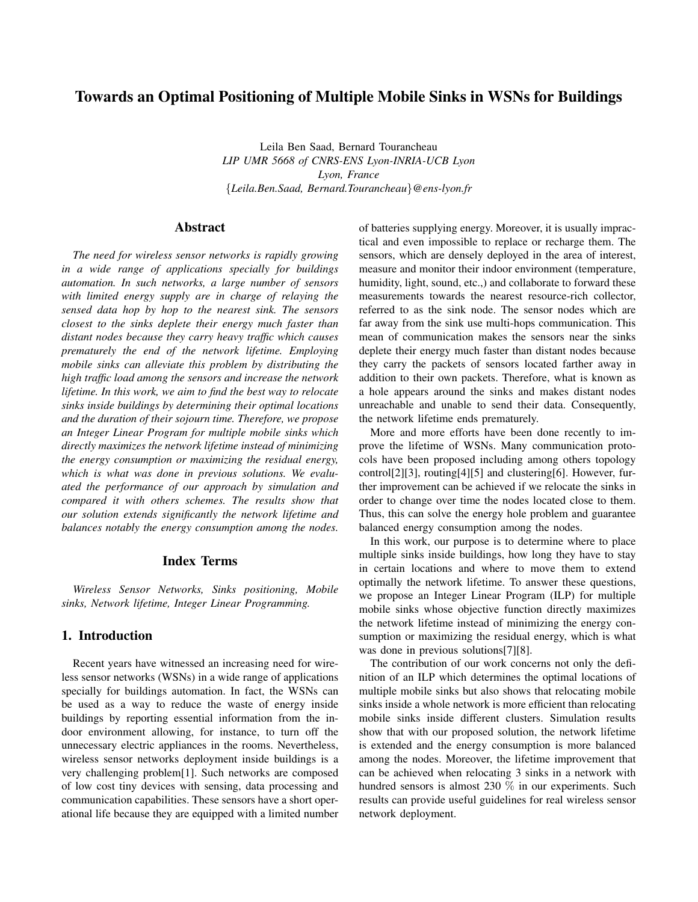### Towards an Optimal Positioning of Multiple Mobile Sinks in WSNs for Buildings

Leila Ben Saad, Bernard Tourancheau *LIP UMR 5668 of CNRS-ENS Lyon-INRIA-UCB Lyon Lyon, France* {*Leila.Ben.Saad, Bernard.Tourancheau*}*@ens-lyon.fr*

#### Abstract

*The need for wireless sensor networks is rapidly growing in a wide range of applications specially for buildings automation. In such networks, a large number of sensors with limited energy supply are in charge of relaying the sensed data hop by hop to the nearest sink. The sensors closest to the sinks deplete their energy much faster than distant nodes because they carry heavy traffic which causes prematurely the end of the network lifetime. Employing mobile sinks can alleviate this problem by distributing the high traffic load among the sensors and increase the network lifetime. In this work, we aim to find the best way to relocate sinks inside buildings by determining their optimal locations and the duration of their sojourn time. Therefore, we propose an Integer Linear Program for multiple mobile sinks which directly maximizes the network lifetime instead of minimizing the energy consumption or maximizing the residual energy, which is what was done in previous solutions. We evaluated the performance of our approach by simulation and compared it with others schemes. The results show that our solution extends significantly the network lifetime and balances notably the energy consumption among the nodes.*

#### Index Terms

*Wireless Sensor Networks, Sinks positioning, Mobile sinks, Network lifetime, Integer Linear Programming.*

#### 1. Introduction

Recent years have witnessed an increasing need for wireless sensor networks (WSNs) in a wide range of applications specially for buildings automation. In fact, the WSNs can be used as a way to reduce the waste of energy inside buildings by reporting essential information from the indoor environment allowing, for instance, to turn off the unnecessary electric appliances in the rooms. Nevertheless, wireless sensor networks deployment inside buildings is a very challenging problem[1]. Such networks are composed of low cost tiny devices with sensing, data processing and communication capabilities. These sensors have a short operational life because they are equipped with a limited number of batteries supplying energy. Moreover, it is usually impractical and even impossible to replace or recharge them. The sensors, which are densely deployed in the area of interest, measure and monitor their indoor environment (temperature, humidity, light, sound, etc.,) and collaborate to forward these measurements towards the nearest resource-rich collector, referred to as the sink node. The sensor nodes which are far away from the sink use multi-hops communication. This mean of communication makes the sensors near the sinks deplete their energy much faster than distant nodes because they carry the packets of sensors located farther away in addition to their own packets. Therefore, what is known as a hole appears around the sinks and makes distant nodes unreachable and unable to send their data. Consequently, the network lifetime ends prematurely.

More and more efforts have been done recently to improve the lifetime of WSNs. Many communication protocols have been proposed including among others topology control[2][3], routing[4][5] and clustering[6]. However, further improvement can be achieved if we relocate the sinks in order to change over time the nodes located close to them. Thus, this can solve the energy hole problem and guarantee balanced energy consumption among the nodes.

In this work, our purpose is to determine where to place multiple sinks inside buildings, how long they have to stay in certain locations and where to move them to extend optimally the network lifetime. To answer these questions, we propose an Integer Linear Program (ILP) for multiple mobile sinks whose objective function directly maximizes the network lifetime instead of minimizing the energy consumption or maximizing the residual energy, which is what was done in previous solutions[7][8].

The contribution of our work concerns not only the definition of an ILP which determines the optimal locations of multiple mobile sinks but also shows that relocating mobile sinks inside a whole network is more efficient than relocating mobile sinks inside different clusters. Simulation results show that with our proposed solution, the network lifetime is extended and the energy consumption is more balanced among the nodes. Moreover, the lifetime improvement that can be achieved when relocating 3 sinks in a network with hundred sensors is almost 230 % in our experiments. Such results can provide useful guidelines for real wireless sensor network deployment.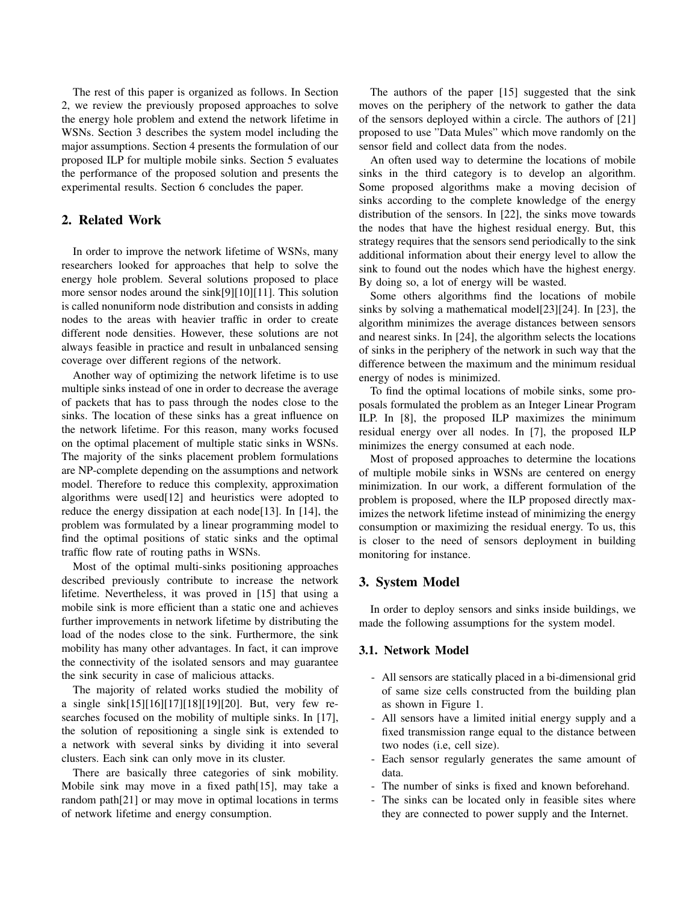The rest of this paper is organized as follows. In Section 2, we review the previously proposed approaches to solve the energy hole problem and extend the network lifetime in WSNs. Section 3 describes the system model including the major assumptions. Section 4 presents the formulation of our proposed ILP for multiple mobile sinks. Section 5 evaluates the performance of the proposed solution and presents the experimental results. Section 6 concludes the paper.

#### 2. Related Work

In order to improve the network lifetime of WSNs, many researchers looked for approaches that help to solve the energy hole problem. Several solutions proposed to place more sensor nodes around the sink[9][10][11]. This solution is called nonuniform node distribution and consists in adding nodes to the areas with heavier traffic in order to create different node densities. However, these solutions are not always feasible in practice and result in unbalanced sensing coverage over different regions of the network.

Another way of optimizing the network lifetime is to use multiple sinks instead of one in order to decrease the average of packets that has to pass through the nodes close to the sinks. The location of these sinks has a great influence on the network lifetime. For this reason, many works focused on the optimal placement of multiple static sinks in WSNs. The majority of the sinks placement problem formulations are NP-complete depending on the assumptions and network model. Therefore to reduce this complexity, approximation algorithms were used[12] and heuristics were adopted to reduce the energy dissipation at each node [13]. In [14], the problem was formulated by a linear programming model to find the optimal positions of static sinks and the optimal traffic flow rate of routing paths in WSNs.

Most of the optimal multi-sinks positioning approaches described previously contribute to increase the network lifetime. Nevertheless, it was proved in [15] that using a mobile sink is more efficient than a static one and achieves further improvements in network lifetime by distributing the load of the nodes close to the sink. Furthermore, the sink mobility has many other advantages. In fact, it can improve the connectivity of the isolated sensors and may guarantee the sink security in case of malicious attacks.

The majority of related works studied the mobility of a single sink[15][16][17][18][19][20]. But, very few researches focused on the mobility of multiple sinks. In [17], the solution of repositioning a single sink is extended to a network with several sinks by dividing it into several clusters. Each sink can only move in its cluster.

There are basically three categories of sink mobility. Mobile sink may move in a fixed path[15], may take a random path[21] or may move in optimal locations in terms of network lifetime and energy consumption.

The authors of the paper [15] suggested that the sink moves on the periphery of the network to gather the data of the sensors deployed within a circle. The authors of [21] proposed to use "Data Mules" which move randomly on the sensor field and collect data from the nodes.

An often used way to determine the locations of mobile sinks in the third category is to develop an algorithm. Some proposed algorithms make a moving decision of sinks according to the complete knowledge of the energy distribution of the sensors. In [22], the sinks move towards the nodes that have the highest residual energy. But, this strategy requires that the sensors send periodically to the sink additional information about their energy level to allow the sink to found out the nodes which have the highest energy. By doing so, a lot of energy will be wasted.

Some others algorithms find the locations of mobile sinks by solving a mathematical model[23][24]. In [23], the algorithm minimizes the average distances between sensors and nearest sinks. In [24], the algorithm selects the locations of sinks in the periphery of the network in such way that the difference between the maximum and the minimum residual energy of nodes is minimized.

To find the optimal locations of mobile sinks, some proposals formulated the problem as an Integer Linear Program ILP. In [8], the proposed ILP maximizes the minimum residual energy over all nodes. In [7], the proposed ILP minimizes the energy consumed at each node.

Most of proposed approaches to determine the locations of multiple mobile sinks in WSNs are centered on energy minimization. In our work, a different formulation of the problem is proposed, where the ILP proposed directly maximizes the network lifetime instead of minimizing the energy consumption or maximizing the residual energy. To us, this is closer to the need of sensors deployment in building monitoring for instance.

#### 3. System Model

In order to deploy sensors and sinks inside buildings, we made the following assumptions for the system model.

#### 3.1. Network Model

- All sensors are statically placed in a bi-dimensional grid of same size cells constructed from the building plan as shown in Figure 1.
- All sensors have a limited initial energy supply and a fixed transmission range equal to the distance between two nodes (i.e, cell size).
- Each sensor regularly generates the same amount of data.
- The number of sinks is fixed and known beforehand.
- The sinks can be located only in feasible sites where they are connected to power supply and the Internet.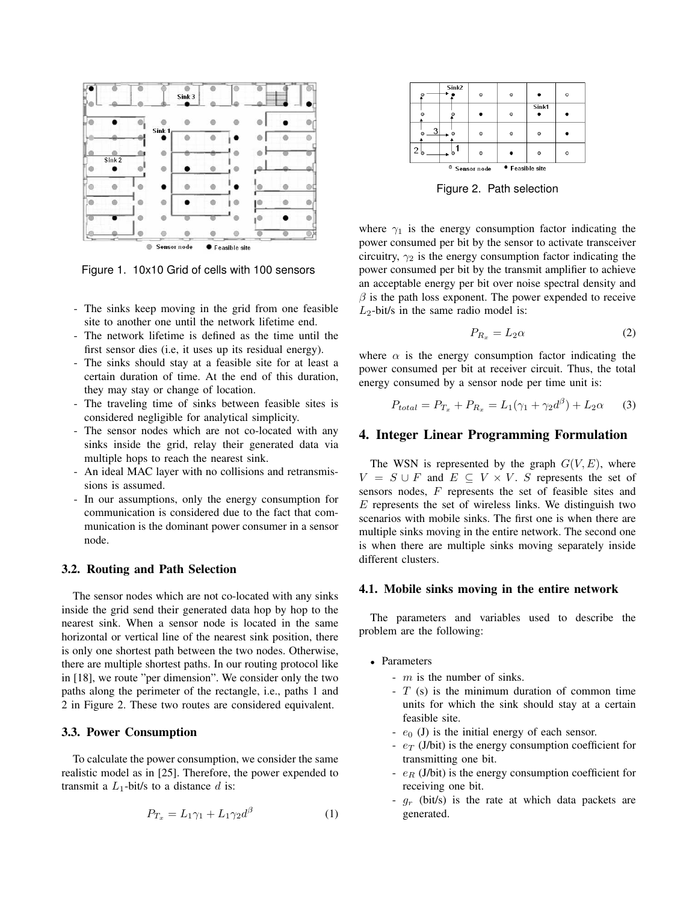

Figure 1. 10x10 Grid of cells with 100 sensors

- The sinks keep moving in the grid from one feasible site to another one until the network lifetime end.
- The network lifetime is defined as the time until the first sensor dies (i.e, it uses up its residual energy).
- The sinks should stay at a feasible site for at least a certain duration of time. At the end of this duration, they may stay or change of location.
- The traveling time of sinks between feasible sites is considered negligible for analytical simplicity.
- The sensor nodes which are not co-located with any sinks inside the grid, relay their generated data via multiple hops to reach the nearest sink.
- An ideal MAC layer with no collisions and retransmissions is assumed.
- In our assumptions, only the energy consumption for communication is considered due to the fact that communication is the dominant power consumer in a sensor node.

#### 3.2. Routing and Path Selection

The sensor nodes which are not co-located with any sinks inside the grid send their generated data hop by hop to the nearest sink. When a sensor node is located in the same horizontal or vertical line of the nearest sink position, there is only one shortest path between the two nodes. Otherwise, there are multiple shortest paths. In our routing protocol like in [18], we route "per dimension". We consider only the two paths along the perimeter of the rectangle, i.e., paths 1 and 2 in Figure 2. These two routes are considered equivalent.

#### 3.3. Power Consumption

To calculate the power consumption, we consider the same realistic model as in [25]. Therefore, the power expended to transmit a  $L_1$ -bit/s to a distance d is:

$$
P_{T_x} = L_1 \gamma_1 + L_1 \gamma_2 d^{\beta} \tag{1}
$$



Figure 2. Path selection

where  $\gamma_1$  is the energy consumption factor indicating the power consumed per bit by the sensor to activate transceiver circuitry,  $\gamma_2$  is the energy consumption factor indicating the power consumed per bit by the transmit amplifier to achieve an acceptable energy per bit over noise spectral density and  $\beta$  is the path loss exponent. The power expended to receive  $L_2$ -bit/s in the same radio model is:

$$
P_{R_x} = L_2 \alpha \tag{2}
$$

where  $\alpha$  is the energy consumption factor indicating the power consumed per bit at receiver circuit. Thus, the total energy consumed by a sensor node per time unit is:

$$
P_{total} = P_{T_x} + P_{R_x} = L_1(\gamma_1 + \gamma_2 d^{\beta}) + L_2 \alpha \tag{3}
$$

#### 4. Integer Linear Programming Formulation

The WSN is represented by the graph  $G(V, E)$ , where  $V = S \cup F$  and  $E \subseteq V \times V$ . S represents the set of sensors nodes, F represents the set of feasible sites and  $E$  represents the set of wireless links. We distinguish two scenarios with mobile sinks. The first one is when there are multiple sinks moving in the entire network. The second one is when there are multiple sinks moving separately inside different clusters.

#### 4.1. Mobile sinks moving in the entire network

The parameters and variables used to describe the problem are the following:

- Parameters
	- $-m$  is the number of sinks.
	- $-T$  (s) is the minimum duration of common time units for which the sink should stay at a certain feasible site.
	- $-e_0$  (J) is the initial energy of each sensor.
	- $e_T$  (J/bit) is the energy consumption coefficient for transmitting one bit.
	- $-e_R$  (J/bit) is the energy consumption coefficient for receiving one bit.
	- $g_r$  (bit/s) is the rate at which data packets are generated.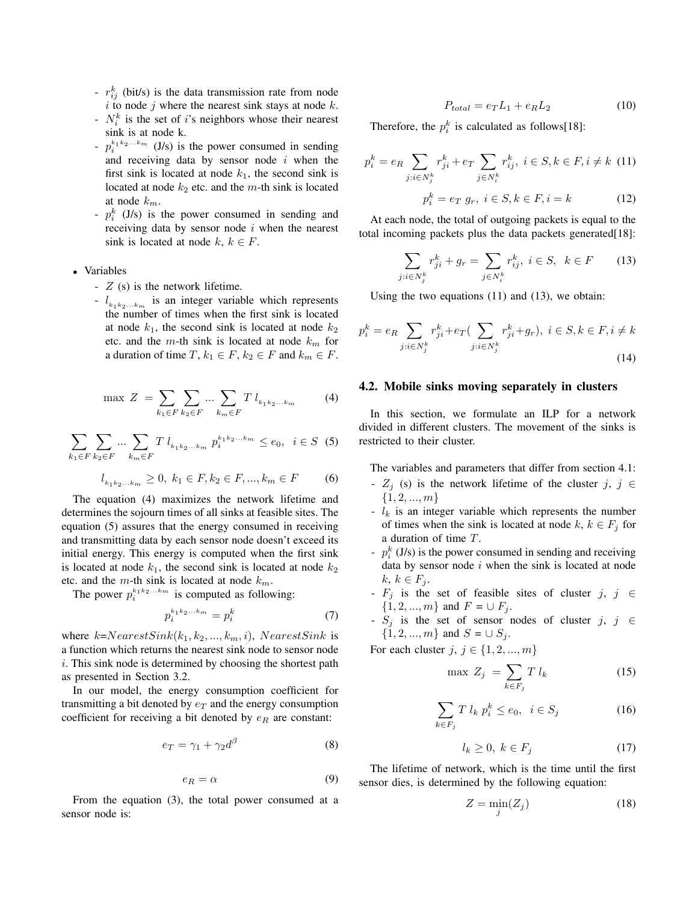- $r_{ij}^k$  (bit/s) is the data transmission rate from node  $i$  to node  $j$  where the nearest sink stays at node  $k$ .
- $N_i^k$  is the set of i's neighbors whose their nearest sink is at node k.
- $-p_i^{k_1 k_2...k_m}$  (J/s) is the power consumed in sending and receiving data by sensor node  $i$  when the first sink is located at node  $k_1$ , the second sink is located at node  $k_2$  etc. and the m-th sink is located at node  $k_m$ .
- $-p_i^k$  (J/s) is the power consumed in sending and receiving data by sensor node  $i$  when the nearest sink is located at node k,  $k \in F$ .
- Variables
	- $-$  Z (s) is the network lifetime.
	- $\cdot$   $l_{k_1k_2...k_m}$  is an integer variable which represents the number of times when the first sink is located at node  $k_1$ , the second sink is located at node  $k_2$ etc. and the m-th sink is located at node  $k_m$  for a duration of time  $T$ ,  $k_1 \in F$ ,  $k_2 \in F$  and  $k_m \in F$ .

$$
\max Z = \sum_{k_1 \in F} \sum_{k_2 \in F} \dots \sum_{k_m \in F} T l_{k_1 k_2 \dots k_m}
$$
 (4)

$$
\sum_{k_1 \in F} \sum_{k_2 \in F} \dots \sum_{k_m \in F} T l_{k_1 k_2 \dots k_m} p_i^{k_1 k_2 \dots k_m} \le e_0, \quad i \in S \tag{5}
$$

$$
l_{k_1k_2...k_m} \ge 0, \ k_1 \in F, k_2 \in F,..., k_m \in F \qquad \quad \textbf{(6)}
$$

The equation (4) maximizes the network lifetime and determines the sojourn times of all sinks at feasible sites. The equation (5) assures that the energy consumed in receiving and transmitting data by each sensor node doesn't exceed its initial energy. This energy is computed when the first sink is located at node  $k_1$ , the second sink is located at node  $k_2$ etc. and the m-th sink is located at node  $k_m$ .

The power  $p_i^{k_1 k_2...k_m}$  is computed as following:

$$
p_i^{k_1 k_2 \dots k_m} = p_i^k \tag{7}
$$

where  $k=NearestSink(k_1, k_2, ..., k_m, i)$ ,  $NearestSink$  is a function which returns the nearest sink node to sensor node i. This sink node is determined by choosing the shortest path as presented in Section 3.2.

In our model, the energy consumption coefficient for transmitting a bit denoted by  $e_T$  and the energy consumption coefficient for receiving a bit denoted by  $e_R$  are constant:

$$
e_T = \gamma_1 + \gamma_2 d^{\beta} \tag{8}
$$

$$
e_R = \alpha \tag{9}
$$

From the equation (3), the total power consumed at a sensor node is:

$$
P_{total} = e_T L_1 + e_R L_2 \tag{10}
$$

Therefore, the  $p_i^k$  is calculated as follows[18]:

$$
p_i^k = e_R \sum_{j:i \in N_j^k} r_{ji}^k + e_T \sum_{j \in N_i^k} r_{ij}^k, \ i \in S, k \in F, i \neq k \quad (11)
$$

$$
p_i^k = e_T \ g_r, \ i \in S, k \in F, i = k \quad (12)
$$

At each node, the total of outgoing packets is equal to the total incoming packets plus the data packets generated[18]:

$$
\sum_{j:i\in N_j^k} r_{ji}^k + g_r = \sum_{j\in N_i^k} r_{ij}^k, \ i \in S, \ k \in F \qquad (13)
$$

Using the two equations (11) and (13), we obtain:

$$
p_i^k = e_R \sum_{j:i \in N_j^k} r_{ji}^k + e_T \left( \sum_{j:i \in N_j^k} r_{ji}^k + g_r \right), \ i \in S, k \in F, i \neq k
$$
\n
$$
(14)
$$

#### 4.2. Mobile sinks moving separately in clusters

In this section, we formulate an ILP for a network divided in different clusters. The movement of the sinks is restricted to their cluster.

The variables and parameters that differ from section 4.1:

- $Z_j$  (s) is the network lifetime of the cluster j, j  $\in$  $\{1, 2, ..., m\}$
- $l_k$  is an integer variable which represents the number of times when the sink is located at node  $k, k \in F_j$  for a duration of time T.
- $-p_i^k$  (J/s) is the power consumed in sending and receiving data by sensor node  $i$  when the sink is located at node  $k, k \in F_i$ .
- $F_j$  is the set of feasible sites of cluster j, j  $\in$  $\{1, 2, ..., m\}$  and  $F = \cup F_i$ .
- $S_j$  is the set of sensor nodes of cluster j, j ∈  $\{1, 2, ..., m\}$  and  $S = \cup S_i$ .

For each cluster  $j, j \in \{1, 2, ..., m\}$ 

$$
\max Z_j = \sum_{k \in F_j} T l_k \tag{15}
$$

$$
\sum_{k \in F_j} T l_k p_i^k \le e_0, \quad i \in S_j \tag{16}
$$

$$
l_k \ge 0, \ k \in F_j \tag{17}
$$

The lifetime of network, which is the time until the first sensor dies, is determined by the following equation:

$$
Z = \min_{j} (Z_j) \tag{18}
$$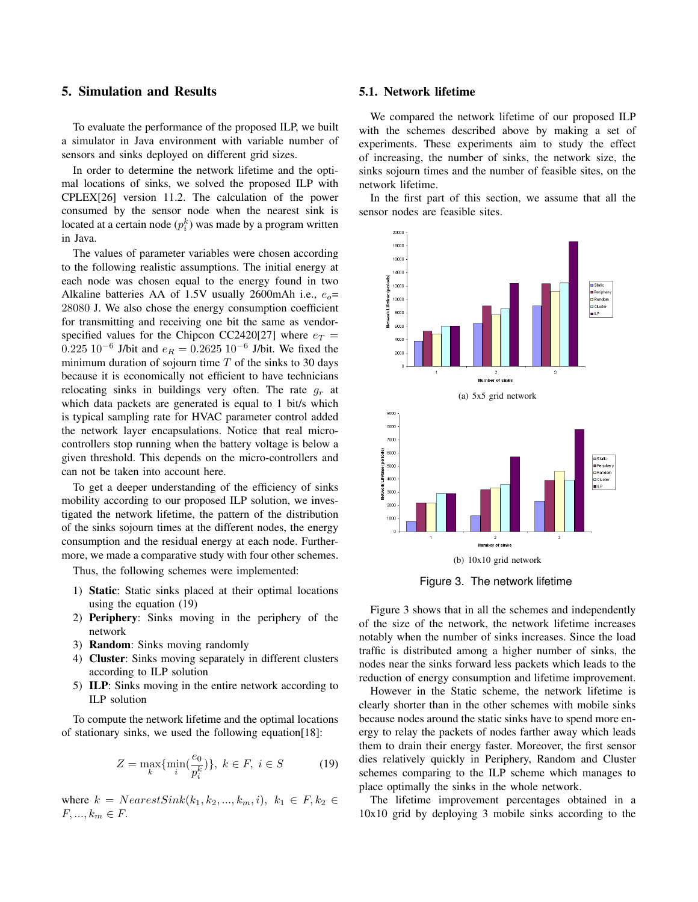#### 5. Simulation and Results

To evaluate the performance of the proposed ILP, we built a simulator in Java environment with variable number of sensors and sinks deployed on different grid sizes.

In order to determine the network lifetime and the optimal locations of sinks, we solved the proposed ILP with CPLEX[26] version 11.2. The calculation of the power consumed by the sensor node when the nearest sink is located at a certain node  $(p_i^k)$  was made by a program written in Java.

The values of parameter variables were chosen according to the following realistic assumptions. The initial energy at each node was chosen equal to the energy found in two Alkaline batteries AA of 1.5V usually 2600mAh i.e.,  $e_0$ = 28080 J. We also chose the energy consumption coefficient for transmitting and receiving one bit the same as vendorspecified values for the Chipcon CC2420[27] where  $e_T$  =  $0.225 \ 10^{-6}$  J/bit and  $e_R = 0.2625 \ 10^{-6}$  J/bit. We fixed the minimum duration of sojourn time  $T$  of the sinks to 30 days because it is economically not efficient to have technicians relocating sinks in buildings very often. The rate  $q_r$  at which data packets are generated is equal to 1 bit/s which is typical sampling rate for HVAC parameter control added the network layer encapsulations. Notice that real microcontrollers stop running when the battery voltage is below a given threshold. This depends on the micro-controllers and can not be taken into account here.

To get a deeper understanding of the efficiency of sinks mobility according to our proposed ILP solution, we investigated the network lifetime, the pattern of the distribution of the sinks sojourn times at the different nodes, the energy consumption and the residual energy at each node. Furthermore, we made a comparative study with four other schemes.

Thus, the following schemes were implemented:

- 1) Static: Static sinks placed at their optimal locations using the equation (19)
- 2) Periphery: Sinks moving in the periphery of the network
- 3) Random: Sinks moving randomly
- 4) Cluster: Sinks moving separately in different clusters according to ILP solution
- 5) ILP: Sinks moving in the entire network according to ILP solution

To compute the network lifetime and the optimal locations of stationary sinks, we used the following equation[18]:

$$
Z = \max_{k} \{ \min_{i} (\frac{e_0}{p_i^k}) \}, \ k \in F, \ i \in S \tag{19}
$$

where  $k = NearestSink(k_1, k_2, ..., k_m, i), k_1 \in F, k_2 \in$  $F, \ldots, k_m \in F$ .

#### 5.1. Network lifetime

We compared the network lifetime of our proposed ILP with the schemes described above by making a set of experiments. These experiments aim to study the effect of increasing, the number of sinks, the network size, the sinks sojourn times and the number of feasible sites, on the network lifetime.

In the first part of this section, we assume that all the sensor nodes are feasible sites.



Figure 3. The network lifetime

Figure 3 shows that in all the schemes and independently of the size of the network, the network lifetime increases notably when the number of sinks increases. Since the load traffic is distributed among a higher number of sinks, the nodes near the sinks forward less packets which leads to the reduction of energy consumption and lifetime improvement.

However in the Static scheme, the network lifetime is clearly shorter than in the other schemes with mobile sinks because nodes around the static sinks have to spend more energy to relay the packets of nodes farther away which leads them to drain their energy faster. Moreover, the first sensor dies relatively quickly in Periphery, Random and Cluster schemes comparing to the ILP scheme which manages to place optimally the sinks in the whole network.

The lifetime improvement percentages obtained in a 10x10 grid by deploying 3 mobile sinks according to the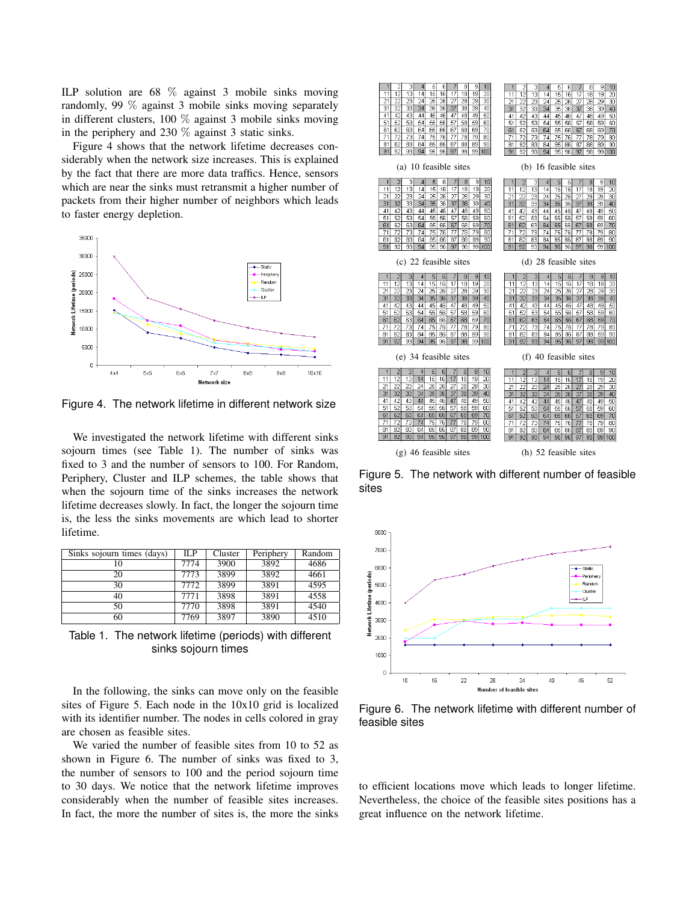ILP solution are 68 % against 3 mobile sinks moving randomly, 99 % against 3 mobile sinks moving separately in different clusters, 100 % against 3 mobile sinks moving in the periphery and 230 % against 3 static sinks.

Figure 4 shows that the network lifetime decreases considerably when the network size increases. This is explained by the fact that there are more data traffics. Hence, sensors which are near the sinks must retransmit a higher number of packets from their higher number of neighbors which leads to faster energy depletion.



Figure 4. The network lifetime in different network size

We investigated the network lifetime with different sinks sojourn times (see Table 1). The number of sinks was fixed to 3 and the number of sensors to 100. For Random, Periphery, Cluster and ILP schemes, the table shows that when the sojourn time of the sinks increases the network lifetime decreases slowly. In fact, the longer the sojourn time is, the less the sinks movements are which lead to shorter lifetime.

| Sinks sojourn times (days) | ILP  | Cluster | Periphery | Random |
|----------------------------|------|---------|-----------|--------|
| 10                         | 7774 | 3900    | 3892      | 4686   |
| 20                         | 7773 | 3899    | 3892      | 4661   |
| 30                         | 7772 | 3899    | 3891      | 4595   |
| 40                         | 7771 | 3898    | 3891      | 4558   |
| 50                         | 7770 | 3898    | 3891      | 4540   |
| 60                         | 7769 | 3897    | 3890      | 4510   |

Table 1. The network lifetime (periods) with different sinks sojourn times

In the following, the sinks can move only on the feasible sites of Figure 5. Each node in the 10x10 grid is localized with its identifier number. The nodes in cells colored in gray are chosen as feasible sites.

We varied the number of feasible sites from 10 to 52 as shown in Figure 6. The number of sinks was fixed to 3, the number of sensors to 100 and the period sojourn time to 30 days. We notice that the network lifetime improves considerably when the number of feasible sites increases. In fact, the more the number of sites is, the more the sinks

| $\overline{c}$                                   | 1                     |  |  |  |
|--------------------------------------------------|-----------------------|--|--|--|
| 3                                                | 2                     |  |  |  |
| 5                                                | 3                     |  |  |  |
| 6                                                | 5                     |  |  |  |
| 7                                                | 7                     |  |  |  |
| 8                                                | 4                     |  |  |  |
| 9                                                | 6                     |  |  |  |
| 1                                                | 8                     |  |  |  |
| 4                                                | 9                     |  |  |  |
| 10                                               | 10                    |  |  |  |
| 11                                               | $\overline{15}$       |  |  |  |
| 12                                               | 12                    |  |  |  |
| 13                                               | 13                    |  |  |  |
| 15                                               | 18                    |  |  |  |
| 17                                               | 20                    |  |  |  |
| 18                                               | 11                    |  |  |  |
| 19                                               | 14                    |  |  |  |
| 20                                               | 16                    |  |  |  |
| 14                                               | 17                    |  |  |  |
| 16                                               | 19                    |  |  |  |
| 21                                               | 21                    |  |  |  |
| 22                                               | 22                    |  |  |  |
| 23                                               | 23                    |  |  |  |
| 24                                               | 24                    |  |  |  |
| 25                                               | 25                    |  |  |  |
| 27                                               | 26                    |  |  |  |
| 28                                               | 27                    |  |  |  |
| 29                                               | 29                    |  |  |  |
| 30                                               | 30                    |  |  |  |
| 26                                               | 28                    |  |  |  |
| 32                                               | 31                    |  |  |  |
| 33                                               | 32                    |  |  |  |
| 38                                               | 33                    |  |  |  |
| 31                                               | 34                    |  |  |  |
| 34                                               | 35                    |  |  |  |
| 35                                               | 37                    |  |  |  |
| 36                                               | 38                    |  |  |  |
| 37                                               | 39                    |  |  |  |
| 39                                               | 40                    |  |  |  |
| 40                                               | 36                    |  |  |  |
| 45                                               | 50                    |  |  |  |
| 50                                               | 43                    |  |  |  |
| 42                                               | 45                    |  |  |  |
| 43                                               | 49                    |  |  |  |
| 44                                               | 41                    |  |  |  |
| 46                                               | 42                    |  |  |  |
| 48                                               | 44                    |  |  |  |
| 49                                               | 46                    |  |  |  |
| 41                                               | 47                    |  |  |  |
| 47                                               | 48                    |  |  |  |
| 53                                               | 51                    |  |  |  |
| 51                                               | 52                    |  |  |  |
| 52                                               | 53                    |  |  |  |
| 54                                               | 54                    |  |  |  |
| 55                                               | 55                    |  |  |  |
| 57                                               | 56                    |  |  |  |
| 58                                               | 57                    |  |  |  |
| 59                                               | 58                    |  |  |  |
| 60                                               | 59                    |  |  |  |
| 56                                               | 60                    |  |  |  |
| 63                                               | 70                    |  |  |  |
| 70                                               | 61                    |  |  |  |
| 61                                               | 62                    |  |  |  |
| 62                                               | 63                    |  |  |  |
| 64                                               | 64                    |  |  |  |
| 65                                               | 65                    |  |  |  |
| 66                                               | 66                    |  |  |  |
| 67                                               | 67                    |  |  |  |
| 68                                               | 68                    |  |  |  |
| 69                                               | 69                    |  |  |  |
| 71                                               | 75                    |  |  |  |
| 72                                               | 71                    |  |  |  |
| 73                                               | 72                    |  |  |  |
| 74                                               | 73                    |  |  |  |
| 75                                               | 74                    |  |  |  |
| 77                                               | 76                    |  |  |  |
| 78                                               | 77                    |  |  |  |
| 79                                               | 78                    |  |  |  |
| 80                                               | 79                    |  |  |  |
| 76                                               | 80                    |  |  |  |
| 81                                               | 89                    |  |  |  |
| 82                                               | 90                    |  |  |  |
| 83                                               | 81                    |  |  |  |
| 85                                               | 82                    |  |  |  |
| 87                                               | 83                    |  |  |  |
| 88                                               | 84                    |  |  |  |
| 89                                               | 85                    |  |  |  |
| 90                                               | 86                    |  |  |  |
| 84                                               | 88                    |  |  |  |
| 86                                               | 87                    |  |  |  |
| 91                                               | 91                    |  |  |  |
| 92                                               | 93                    |  |  |  |
| 93                                               | 94                    |  |  |  |
| 94                                               | 95                    |  |  |  |
| 95                                               | 96                    |  |  |  |
| 96                                               | 98                    |  |  |  |
| 97                                               | 99                    |  |  |  |
| 98                                               | 100                   |  |  |  |
| 99                                               | 92                    |  |  |  |
| 100                                              | 97                    |  |  |  |
| (a) 10 feasible sites                            | (b) 16 feasible sites |  |  |  |
| $\overline{2}$                                   | $\overline{2}$        |  |  |  |
| 3                                                | 3                     |  |  |  |
| 5                                                | 5                     |  |  |  |
| 7                                                | 7                     |  |  |  |
| 8                                                | 8                     |  |  |  |
| 1                                                | 9                     |  |  |  |
| 6                                                | 10                    |  |  |  |
| 9                                                | 1                     |  |  |  |
| 10                                               | 4                     |  |  |  |
| 4                                                | 6                     |  |  |  |
| $\overline{13}$                                  | 13                    |  |  |  |
| 12                                               | 12                    |  |  |  |
| 14                                               | 14                    |  |  |  |
| 15                                               | 15                    |  |  |  |
| 16                                               | 17                    |  |  |  |
| 17                                               | 18                    |  |  |  |
| 18                                               | 19                    |  |  |  |
| 19                                               | 20                    |  |  |  |
| 20                                               | 11                    |  |  |  |
| 11                                               | 16                    |  |  |  |
| 23                                               | 21                    |  |  |  |
| 30                                               | 22                    |  |  |  |
| 21                                               | 23                    |  |  |  |
| 22                                               | 24                    |  |  |  |
| 24                                               | 25                    |  |  |  |
| 25                                               | 27                    |  |  |  |
| 26                                               | 28                    |  |  |  |
| 28                                               | 29                    |  |  |  |
| 29                                               | 30                    |  |  |  |
| 27                                               | 26                    |  |  |  |
| 31                                               | 32                    |  |  |  |
| 32                                               | 31                    |  |  |  |
| 33                                               | 33                    |  |  |  |
| 34                                               | 34                    |  |  |  |
| 35                                               | 35                    |  |  |  |
| 37                                               | 37                    |  |  |  |
| 38                                               | 38                    |  |  |  |
| 39                                               | 39                    |  |  |  |
| 36                                               | 36                    |  |  |  |
| 40                                               | 40                    |  |  |  |
| 43                                               | 42                    |  |  |  |
| 42                                               | 43                    |  |  |  |
| 45                                               | 45                    |  |  |  |
| 46                                               | 46                    |  |  |  |
| 48                                               | 47                    |  |  |  |
| 49                                               | 49                    |  |  |  |
| 50                                               | 5С                    |  |  |  |
| 41                                               | 41                    |  |  |  |
| 44                                               | 44                    |  |  |  |
| 47                                               | 48                    |  |  |  |
| 51                                               | 52                    |  |  |  |
| 52                                               | 53                    |  |  |  |
| 53                                               | 55                    |  |  |  |
| 57                                               | 51                    |  |  |  |
| 58                                               | 54                    |  |  |  |
| 54                                               | 56                    |  |  |  |
| 55                                               | 57                    |  |  |  |
| 56                                               | 58                    |  |  |  |
| 59                                               | 59                    |  |  |  |
| 60                                               | 60                    |  |  |  |
| 63                                               | 67                    |  |  |  |
| 70                                               | 62                    |  |  |  |
| 61                                               | 63                    |  |  |  |
| 62                                               | 64                    |  |  |  |
| 64                                               | 65                    |  |  |  |
| 65                                               | 66                    |  |  |  |
| 66                                               | 69                    |  |  |  |
| 67                                               | 70                    |  |  |  |
| 68                                               | 61                    |  |  |  |
| 69                                               | 68                    |  |  |  |
| 80                                               | 79                    |  |  |  |
| 71                                               | 71                    |  |  |  |
| 72                                               | 72                    |  |  |  |
| 73                                               | 73                    |  |  |  |
| 74                                               | 74                    |  |  |  |
| 75                                               | 75                    |  |  |  |
| 77                                               | 77                    |  |  |  |
| 78                                               | 78                    |  |  |  |
| 79                                               | 80                    |  |  |  |
| 76                                               | 76                    |  |  |  |
| 89                                               | 90                    |  |  |  |
| 81                                               | 81                    |  |  |  |
| 82                                               | 82                    |  |  |  |
| 83                                               | 83                    |  |  |  |
| 84                                               | 84                    |  |  |  |
| 85                                               | 85                    |  |  |  |
| 86                                               | 86                    |  |  |  |
| 87                                               | 87                    |  |  |  |
| 88                                               | 88                    |  |  |  |
| 90                                               | 89                    |  |  |  |
| 91                                               | 91                    |  |  |  |
| 93                                               | 92                    |  |  |  |
| 94                                               | 93                    |  |  |  |
| 95                                               | 94                    |  |  |  |
| 97                                               | 95                    |  |  |  |
| 98                                               | 98                    |  |  |  |
| 99                                               | 99                    |  |  |  |
| 100                                              | 100                   |  |  |  |
| 92                                               | 96                    |  |  |  |
| 96                                               | 97                    |  |  |  |
| (c) 22 feasible sites                            | (d) 28 feasible sites |  |  |  |
| $\overline{c}$                                   | $\overline{c}$        |  |  |  |
| 3                                                | 3                     |  |  |  |
| 5                                                | 5                     |  |  |  |
| 6                                                | 6                     |  |  |  |
| 7                                                | 8                     |  |  |  |
| 8                                                | $\sqrt{4}$            |  |  |  |
| 9                                                | 7                     |  |  |  |
| 1                                                | 9                     |  |  |  |
| 10                                               | 10                    |  |  |  |
| 4                                                | 1                     |  |  |  |
| 12                                               | 12                    |  |  |  |
| 13                                               | 13                    |  |  |  |
| 15                                               | 14                    |  |  |  |
| 17                                               | 15                    |  |  |  |
| 18                                               | 18                    |  |  |  |
| 20                                               | 19                    |  |  |  |
| 11                                               | 20                    |  |  |  |
| 14                                               | 11                    |  |  |  |
| 16                                               | 16                    |  |  |  |
| 19                                               | 17                    |  |  |  |
| 21                                               | 21                    |  |  |  |
| 22                                               | 22                    |  |  |  |
| 23                                               | 23                    |  |  |  |
| 24                                               | 24                    |  |  |  |
| 25                                               | 25                    |  |  |  |
| 26                                               | 26                    |  |  |  |
| 27                                               | 27                    |  |  |  |
| 28                                               | 28                    |  |  |  |
| 29                                               | 29                    |  |  |  |
| 30                                               | 30                    |  |  |  |
| 31                                               | 31                    |  |  |  |
| 33                                               | 32                    |  |  |  |
| 34                                               | 34                    |  |  |  |
| 35                                               | 35                    |  |  |  |
| 37                                               | 40                    |  |  |  |
| 38                                               | 33                    |  |  |  |
| 40                                               | 36                    |  |  |  |
| 32                                               | 37                    |  |  |  |
| 36                                               | 38                    |  |  |  |
| 39                                               | 39                    |  |  |  |
| 60                                               | 45                    |  |  |  |
| 41                                               | 49                    |  |  |  |
| 43                                               | 50                    |  |  |  |
| 44                                               | 41                    |  |  |  |
| 45                                               | 42                    |  |  |  |
| 46                                               | 43                    |  |  |  |
| 47                                               | 44                    |  |  |  |
| 49                                               | 46                    |  |  |  |
| 42                                               | 47                    |  |  |  |
| 48                                               | 48                    |  |  |  |
| 53                                               | 51                    |  |  |  |
| 51                                               | 52                    |  |  |  |
| 52                                               | 53                    |  |  |  |
| 55                                               | 55                    |  |  |  |
| 58                                               | 58                    |  |  |  |
| 59                                               | 59                    |  |  |  |
| 60                                               | 60                    |  |  |  |
| 54                                               | 54                    |  |  |  |
| 56                                               | 56                    |  |  |  |
| 57                                               | 57                    |  |  |  |
| 70                                               | 70                    |  |  |  |
| 61                                               | 61                    |  |  |  |
| 62                                               | 62                    |  |  |  |
| 63                                               | 63                    |  |  |  |
| 64                                               | 64                    |  |  |  |
| 65                                               | 65                    |  |  |  |
| 66                                               | 66                    |  |  |  |
| 67                                               | 67                    |  |  |  |
| 68                                               | 68                    |  |  |  |
| 69                                               | 69                    |  |  |  |
| 72                                               | 71                    |  |  |  |
| 73                                               | 72                    |  |  |  |
| 74                                               | 73                    |  |  |  |
| 75                                               | 75                    |  |  |  |
| 76                                               | 76                    |  |  |  |
| 77                                               | 79                    |  |  |  |
| 79                                               | 80                    |  |  |  |
| 71                                               | 74                    |  |  |  |
| 78                                               | 77                    |  |  |  |
| 80                                               | 78                    |  |  |  |
| 81                                               | 81                    |  |  |  |
| 82                                               | 82                    |  |  |  |
| 83                                               | 83                    |  |  |  |
| 84                                               | 84                    |  |  |  |
| 85                                               | 85                    |  |  |  |
| 86                                               | 86                    |  |  |  |
| 87                                               | 87                    |  |  |  |
| 88                                               | 88                    |  |  |  |
| 89                                               | 89                    |  |  |  |
| 90                                               | 90                    |  |  |  |
| 92                                               | 99                    |  |  |  |
| 95                                               | 91                    |  |  |  |
| 91                                               | 92                    |  |  |  |
| 93                                               | 93                    |  |  |  |
| 94                                               | 94                    |  |  |  |
| 96                                               | 95                    |  |  |  |
| 97                                               | 96                    |  |  |  |
| 98                                               | 97                    |  |  |  |
| 99                                               | 98                    |  |  |  |
| 100                                              | 100                   |  |  |  |
| (e) 34 feasible sites                            | (f) 40 feasible sites |  |  |  |
| $\overline{2}$                                   | $\overline{c}$        |  |  |  |
| 3                                                | 3                     |  |  |  |
| 8                                                | 7                     |  |  |  |
| 1                                                | 8                     |  |  |  |
| 5                                                | 1                     |  |  |  |
| 6                                                | 5                     |  |  |  |
| 7                                                | 6                     |  |  |  |
| 9                                                | 9                     |  |  |  |
| 10                                               | 10                    |  |  |  |
| 4                                                | 4                     |  |  |  |
| 13                                               | 12                    |  |  |  |
| 15                                               | 13                    |  |  |  |
| 17                                               | 14                    |  |  |  |
| 20                                               | 15                    |  |  |  |
| 12                                               | 17                    |  |  |  |
| 14                                               | 20                    |  |  |  |
| 16                                               | 11                    |  |  |  |
| 18                                               | 16                    |  |  |  |
| 19                                               | 18                    |  |  |  |
| 11                                               | 19                    |  |  |  |
| 22                                               | 22                    |  |  |  |
| 25                                               | 23                    |  |  |  |
| 21                                               | 24                    |  |  |  |
| 23                                               | 25                    |  |  |  |
| 24                                               | 26                    |  |  |  |
| 26                                               | 27                    |  |  |  |
| 27                                               | 29                    |  |  |  |
| 28                                               | 21                    |  |  |  |
| 29                                               | 28                    |  |  |  |
| 30                                               | 30                    |  |  |  |
| 39                                               | 31                    |  |  |  |
| 40                                               | 32                    |  |  |  |
| 31                                               | 34                    |  |  |  |
| 32                                               | 35                    |  |  |  |
| 33                                               | 36                    |  |  |  |
| 34                                               | 39                    |  |  |  |
| 35                                               | 33                    |  |  |  |
| 36                                               | 37                    |  |  |  |
| 37                                               | 38                    |  |  |  |
| 38                                               | 40                    |  |  |  |
| 50                                               | 42                    |  |  |  |
| 41                                               | 45                    |  |  |  |
| 42                                               | 49                    |  |  |  |
| 43                                               | 50                    |  |  |  |
| 44                                               | 41                    |  |  |  |
| 45                                               | 43                    |  |  |  |
| 46                                               | 44                    |  |  |  |
| 47                                               | 46                    |  |  |  |
| 48                                               | 47                    |  |  |  |
| 49                                               | 48                    |  |  |  |
| 52                                               | 59                    |  |  |  |
| 53                                               | 51                    |  |  |  |
| 55                                               | 52                    |  |  |  |
| 58                                               | 53                    |  |  |  |
| 59                                               | 54                    |  |  |  |
| 60                                               | 55                    |  |  |  |
| 51                                               | 56                    |  |  |  |
| 54                                               | 58                    |  |  |  |
| 56                                               | 60                    |  |  |  |
| 57                                               | 57                    |  |  |  |
| 65                                               | 61                    |  |  |  |
| 68                                               | 62                    |  |  |  |
| 70                                               | 63                    |  |  |  |
| 61                                               | 65                    |  |  |  |
| 62                                               | 67                    |  |  |  |
| 63                                               | 68                    |  |  |  |
| 64                                               | 69                    |  |  |  |
| 66                                               | 70                    |  |  |  |
| 67                                               | 64                    |  |  |  |
| 69                                               | 66                    |  |  |  |
| 74                                               | 71                    |  |  |  |
| 75                                               | 72                    |  |  |  |
| 77                                               | 73                    |  |  |  |
| 71                                               | 74                    |  |  |  |
| 72                                               | 75                    |  |  |  |
| 73                                               | 76                    |  |  |  |
| 76                                               | 77                    |  |  |  |
| 78                                               | 79                    |  |  |  |
| 79                                               | 80                    |  |  |  |
| 80                                               | 78                    |  |  |  |
| 90                                               | 81                    |  |  |  |
| 81                                               | 82                    |  |  |  |
| 82                                               | 83                    |  |  |  |
| 83                                               | 84                    |  |  |  |
| 84                                               | 85                    |  |  |  |
| 85                                               | 86                    |  |  |  |
| 86                                               | 87                    |  |  |  |
| 87                                               | 88                    |  |  |  |
| 88                                               | 89                    |  |  |  |
| 89                                               | 90                    |  |  |  |
| 95                                               | 91                    |  |  |  |
| 91                                               | 92                    |  |  |  |
| 92                                               | 93                    |  |  |  |
| 93                                               | 94                    |  |  |  |
| 94                                               | 95                    |  |  |  |
| 96                                               | 96                    |  |  |  |
| 97                                               | 97                    |  |  |  |
| 98                                               | 99                    |  |  |  |
| 99                                               | 100                   |  |  |  |
| 100                                              | 98                    |  |  |  |
| $(g)$ 46 feasible sites<br>(h) 52 feasible sites |                       |  |  |  |

Figure 5. The network with different number of feasible sites



Figure 6. The network lifetime with different number of feasible sites

to efficient locations move which leads to longer lifetime. Nevertheless, the choice of the feasible sites positions has a great influence on the network lifetime.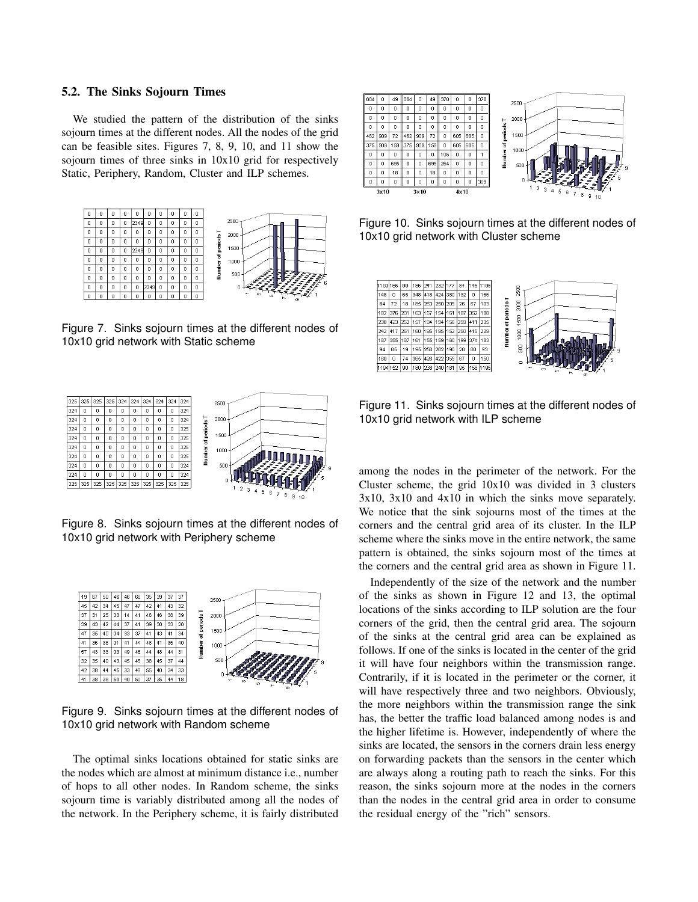#### 5.2. The Sinks Sojourn Times

We studied the pattern of the distribution of the sinks sojourn times at the different nodes. All the nodes of the grid can be feasible sites. Figures 7, 8, 9, 10, and 11 show the sojourn times of three sinks in 10x10 grid for respectively Static, Periphery, Random, Cluster and ILP schemes.



Figure 7. Sinks sojourn times at the different nodes of 10x10 grid network with Static scheme



Figure 8. Sinks sojourn times at the different nodes of 10x10 grid network with Periphery scheme



Figure 9. Sinks sojourn times at the different nodes of 10x10 grid network with Random scheme

The optimal sinks locations obtained for static sinks are the nodes which are almost at minimum distance i.e., number of hops to all other nodes. In Random scheme, the sinks sojourn time is variably distributed among all the nodes of the network. In the Periphery scheme, it is fairly distributed



Figure 10. Sinks sojourn times at the different nodes of 10x10 grid network with Cluster scheme



Figure 11. Sinks sojourn times at the different nodes of 10x10 grid network with ILP scheme

among the nodes in the perimeter of the network. For the Cluster scheme, the grid 10x10 was divided in 3 clusters 3x10, 3x10 and 4x10 in which the sinks move separately. We notice that the sink sojourns most of the times at the corners and the central grid area of its cluster. In the ILP scheme where the sinks move in the entire network, the same pattern is obtained, the sinks sojourn most of the times at the corners and the central grid area as shown in Figure 11.

Independently of the size of the network and the number of the sinks as shown in Figure 12 and 13, the optimal locations of the sinks according to ILP solution are the four corners of the grid, then the central grid area. The sojourn of the sinks at the central grid area can be explained as follows. If one of the sinks is located in the center of the grid it will have four neighbors within the transmission range. Contrarily, if it is located in the perimeter or the corner, it will have respectively three and two neighbors. Obviously, the more neighbors within the transmission range the sink has, the better the traffic load balanced among nodes is and the higher lifetime is. However, independently of where the sinks are located, the sensors in the corners drain less energy on forwarding packets than the sensors in the center which are always along a routing path to reach the sinks. For this reason, the sinks sojourn more at the nodes in the corners than the nodes in the central grid area in order to consume the residual energy of the "rich" sensors.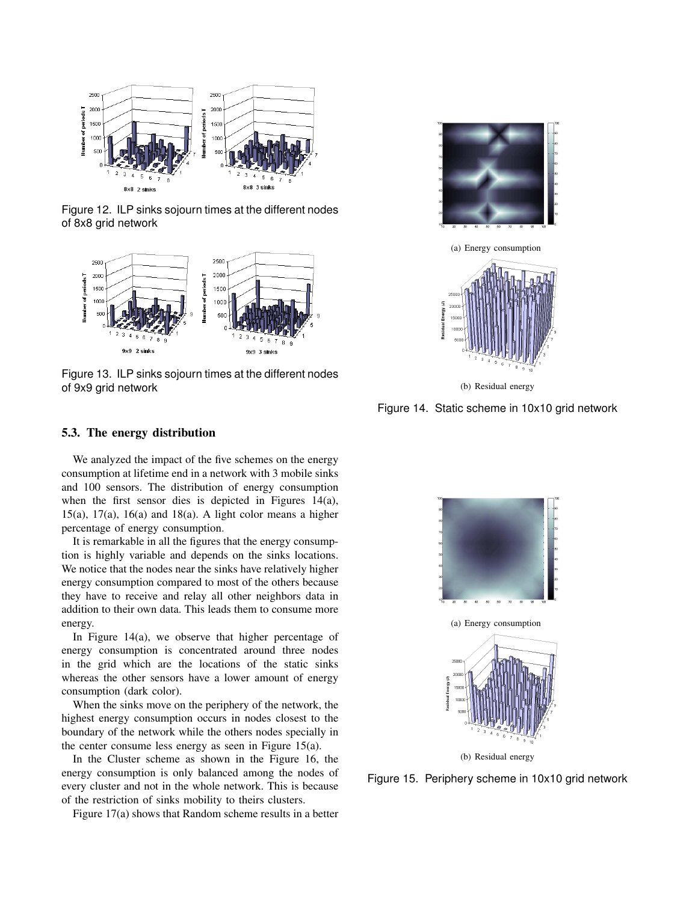

Figure 12. ILP sinks sojourn times at the different nodes of 8x8 grid network



Figure 13. ILP sinks sojourn times at the different nodes of 9x9 grid network





(b) Residual energy

Figure 14. Static scheme in 10x10 grid network

#### 5.3. The energy distribution

We analyzed the impact of the five schemes on the energy consumption at lifetime end in a network with 3 mobile sinks and 100 sensors. The distribution of energy consumption when the first sensor dies is depicted in Figures 14(a), 15(a),  $17(a)$ ,  $16(a)$  and  $18(a)$ . A light color means a higher percentage of energy consumption.

It is remarkable in all the figures that the energy consumption is highly variable and depends on the sinks locations. We notice that the nodes near the sinks have relatively higher energy consumption compared to most of the others because they have to receive and relay all other neighbors data in addition to their own data. This leads them to consume more energy.

In Figure 14(a), we observe that higher percentage of energy consumption is concentrated around three nodes in the grid which are the locations of the static sinks whereas the other sensors have a lower amount of energy consumption (dark color).

When the sinks move on the periphery of the network, the highest energy consumption occurs in nodes closest to the boundary of the network while the others nodes specially in the center consume less energy as seen in Figure 15(a).

In the Cluster scheme as shown in the Figure 16, the energy consumption is only balanced among the nodes of every cluster and not in the whole network. This is because of the restriction of sinks mobility to theirs clusters.

Figure 17(a) shows that Random scheme results in a better



Figure 15. Periphery scheme in 10x10 grid network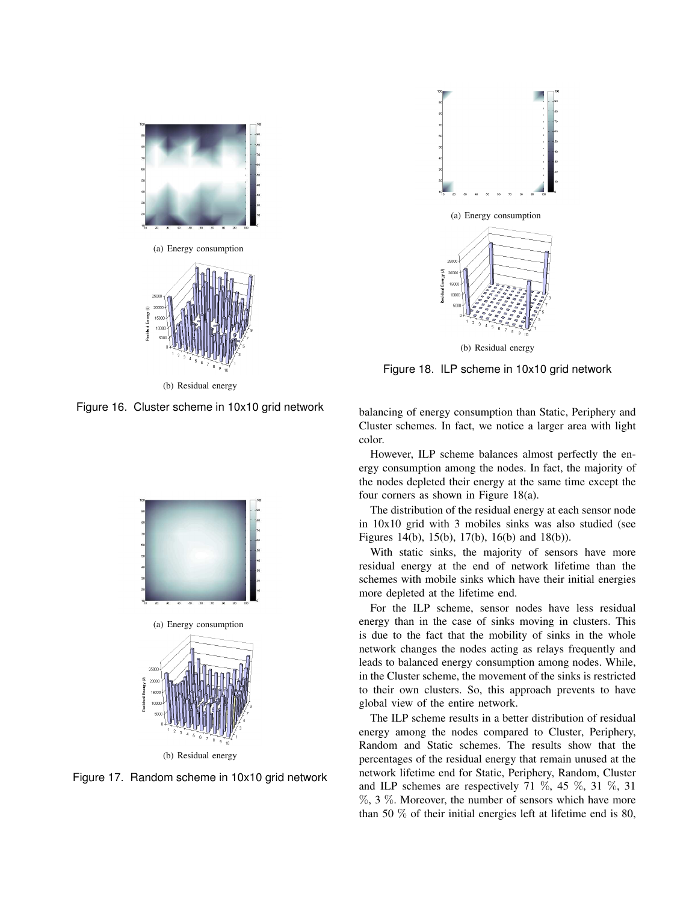



(b) Residual energy

Figure 16. Cluster scheme in 10x10 grid network



Figure 17. Random scheme in 10x10 grid network



Figure 18. ILP scheme in 10x10 grid network

balancing of energy consumption than Static, Periphery and Cluster schemes. In fact, we notice a larger area with light color.

However, ILP scheme balances almost perfectly the energy consumption among the nodes. In fact, the majority of the nodes depleted their energy at the same time except the four corners as shown in Figure 18(a).

The distribution of the residual energy at each sensor node in 10x10 grid with 3 mobiles sinks was also studied (see Figures 14(b), 15(b), 17(b), 16(b) and 18(b)).

With static sinks, the majority of sensors have more residual energy at the end of network lifetime than the schemes with mobile sinks which have their initial energies more depleted at the lifetime end.

For the ILP scheme, sensor nodes have less residual energy than in the case of sinks moving in clusters. This is due to the fact that the mobility of sinks in the whole network changes the nodes acting as relays frequently and leads to balanced energy consumption among nodes. While, in the Cluster scheme, the movement of the sinks is restricted to their own clusters. So, this approach prevents to have global view of the entire network.

The ILP scheme results in a better distribution of residual energy among the nodes compared to Cluster, Periphery, Random and Static schemes. The results show that the percentages of the residual energy that remain unused at the network lifetime end for Static, Periphery, Random, Cluster and ILP schemes are respectively 71  $\%$ , 45  $\%$ , 31  $\%$ , 31 %, 3 %. Moreover, the number of sensors which have more than 50 % of their initial energies left at lifetime end is 80,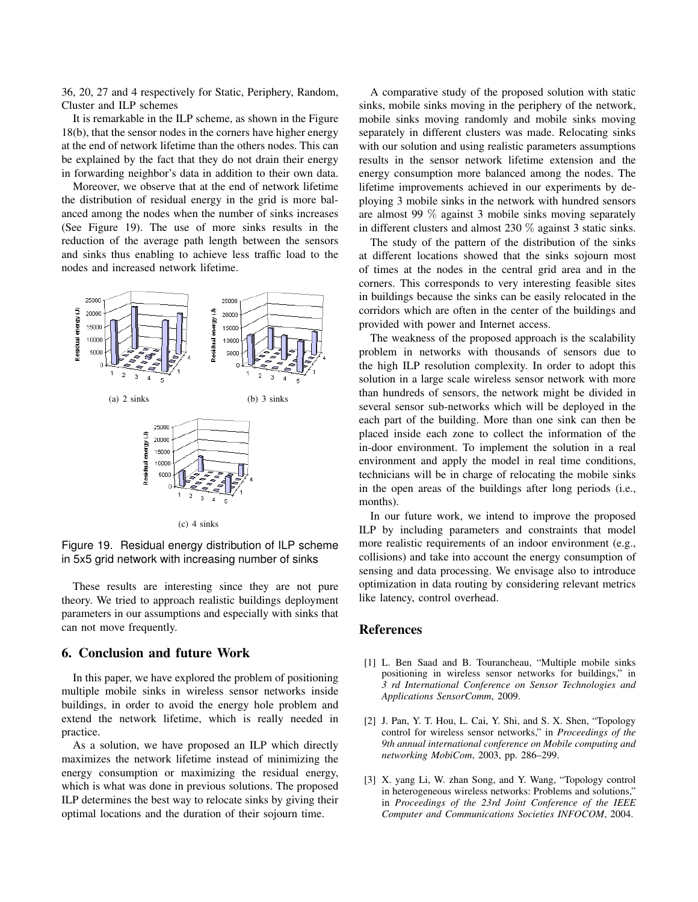36, 20, 27 and 4 respectively for Static, Periphery, Random, Cluster and ILP schemes

It is remarkable in the ILP scheme, as shown in the Figure 18(b), that the sensor nodes in the corners have higher energy at the end of network lifetime than the others nodes. This can be explained by the fact that they do not drain their energy in forwarding neighbor's data in addition to their own data.

Moreover, we observe that at the end of network lifetime the distribution of residual energy in the grid is more balanced among the nodes when the number of sinks increases (See Figure 19). The use of more sinks results in the reduction of the average path length between the sensors and sinks thus enabling to achieve less traffic load to the nodes and increased network lifetime.



(c) 4 sinks

Figure 19. Residual energy distribution of ILP scheme in 5x5 grid network with increasing number of sinks

These results are interesting since they are not pure theory. We tried to approach realistic buildings deployment parameters in our assumptions and especially with sinks that can not move frequently.

#### 6. Conclusion and future Work

In this paper, we have explored the problem of positioning multiple mobile sinks in wireless sensor networks inside buildings, in order to avoid the energy hole problem and extend the network lifetime, which is really needed in practice.

As a solution, we have proposed an ILP which directly maximizes the network lifetime instead of minimizing the energy consumption or maximizing the residual energy, which is what was done in previous solutions. The proposed ILP determines the best way to relocate sinks by giving their optimal locations and the duration of their sojourn time.

A comparative study of the proposed solution with static sinks, mobile sinks moving in the periphery of the network, mobile sinks moving randomly and mobile sinks moving separately in different clusters was made. Relocating sinks with our solution and using realistic parameters assumptions results in the sensor network lifetime extension and the energy consumption more balanced among the nodes. The lifetime improvements achieved in our experiments by deploying 3 mobile sinks in the network with hundred sensors are almost 99 % against 3 mobile sinks moving separately in different clusters and almost 230 % against 3 static sinks.

The study of the pattern of the distribution of the sinks at different locations showed that the sinks sojourn most of times at the nodes in the central grid area and in the corners. This corresponds to very interesting feasible sites in buildings because the sinks can be easily relocated in the corridors which are often in the center of the buildings and provided with power and Internet access.

The weakness of the proposed approach is the scalability problem in networks with thousands of sensors due to the high ILP resolution complexity. In order to adopt this solution in a large scale wireless sensor network with more than hundreds of sensors, the network might be divided in several sensor sub-networks which will be deployed in the each part of the building. More than one sink can then be placed inside each zone to collect the information of the in-door environment. To implement the solution in a real environment and apply the model in real time conditions, technicians will be in charge of relocating the mobile sinks in the open areas of the buildings after long periods (i.e., months).

In our future work, we intend to improve the proposed ILP by including parameters and constraints that model more realistic requirements of an indoor environment (e.g., collisions) and take into account the energy consumption of sensing and data processing. We envisage also to introduce optimization in data routing by considering relevant metrics like latency, control overhead.

#### References

- [1] L. Ben Saad and B. Tourancheau, "Multiple mobile sinks positioning in wireless sensor networks for buildings," in *3 rd International Conference on Sensor Technologies and Applications SensorComm*, 2009.
- [2] J. Pan, Y. T. Hou, L. Cai, Y. Shi, and S. X. Shen, "Topology control for wireless sensor networks," in *Proceedings of the 9th annual international conference on Mobile computing and networking MobiCom*, 2003, pp. 286–299.
- [3] X. yang Li, W. zhan Song, and Y. Wang, "Topology control in heterogeneous wireless networks: Problems and solutions," in *Proceedings of the 23rd Joint Conference of the IEEE Computer and Communications Societies INFOCOM*, 2004.